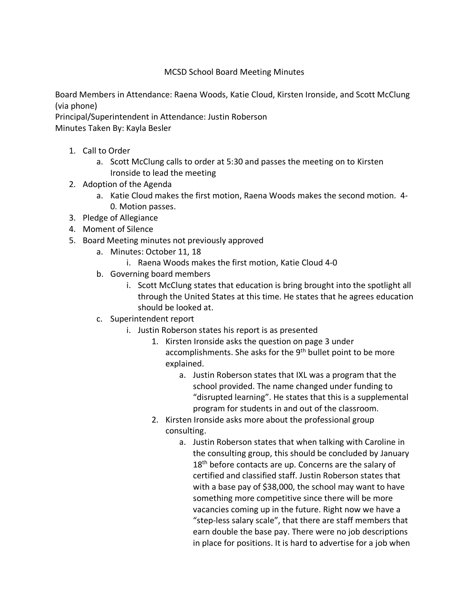## MCSD School Board Meeting Minutes

Board Members in Attendance: Raena Woods, Katie Cloud, Kirsten Ironside, and Scott McClung (via phone)

Principal/Superintendent in Attendance: Justin Roberson

Minutes Taken By: Kayla Besler

- 1. Call to Order
	- a. Scott McClung calls to order at 5:30 and passes the meeting on to Kirsten Ironside to lead the meeting
- 2. Adoption of the Agenda
	- a. Katie Cloud makes the first motion, Raena Woods makes the second motion. 4- 0. Motion passes.
- 3. Pledge of Allegiance
- 4. Moment of Silence
- 5. Board Meeting minutes not previously approved
	- a. Minutes: October 11, 18
		- i. Raena Woods makes the first motion, Katie Cloud 4-0
	- b. Governing board members
		- i. Scott McClung states that education is bring brought into the spotlight all through the United States at this time. He states that he agrees education should be looked at.
	- c. Superintendent report
		- i. Justin Roberson states his report is as presented
			- 1. Kirsten Ironside asks the question on page 3 under accomplishments. She asks for the  $9<sup>th</sup>$  bullet point to be more explained.
				- a. Justin Roberson states that IXL was a program that the school provided. The name changed under funding to "disrupted learning". He states that this is a supplemental program for students in and out of the classroom.
			- 2. Kirsten Ironside asks more about the professional group consulting.
				- a. Justin Roberson states that when talking with Caroline in the consulting group, this should be concluded by January  $18<sup>th</sup>$  before contacts are up. Concerns are the salary of certified and classified staff. Justin Roberson states that with a base pay of \$38,000, the school may want to have something more competitive since there will be more vacancies coming up in the future. Right now we have a "step-less salary scale", that there are staff members that earn double the base pay. There were no job descriptions in place for positions. It is hard to advertise for a job when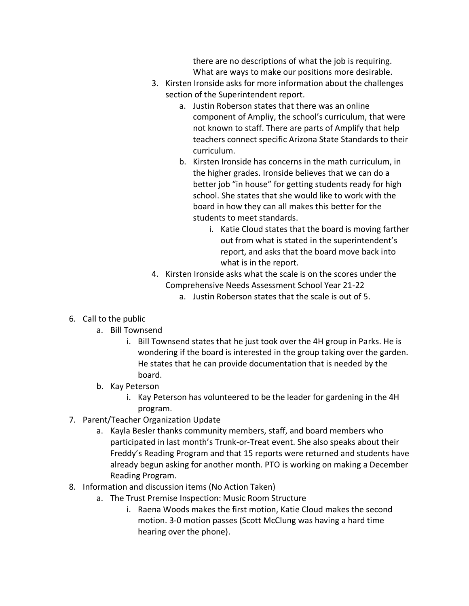there are no descriptions of what the job is requiring. What are ways to make our positions more desirable.

- 3. Kirsten Ironside asks for more information about the challenges section of the Superintendent report.
	- a. Justin Roberson states that there was an online component of Ampliy, the school's curriculum, that were not known to staff. There are parts of Amplify that help teachers connect specific Arizona State Standards to their curriculum.
	- b. Kirsten Ironside has concerns in the math curriculum, in the higher grades. Ironside believes that we can do a better job "in house" for getting students ready for high school. She states that she would like to work with the board in how they can all makes this better for the students to meet standards.
		- i. Katie Cloud states that the board is moving farther out from what is stated in the superintendent's report, and asks that the board move back into what is in the report.
- 4. Kirsten Ironside asks what the scale is on the scores under the Comprehensive Needs Assessment School Year 21-22
	- a. Justin Roberson states that the scale is out of 5.
- 6. Call to the public
	- a. Bill Townsend
		- i. Bill Townsend states that he just took over the 4H group in Parks. He is wondering if the board is interested in the group taking over the garden. He states that he can provide documentation that is needed by the board.
	- b. Kay Peterson
		- i. Kay Peterson has volunteered to be the leader for gardening in the 4H program.
- 7. Parent/Teacher Organization Update
	- a. Kayla Besler thanks community members, staff, and board members who participated in last month's Trunk-or-Treat event. She also speaks about their Freddy's Reading Program and that 15 reports were returned and students have already begun asking for another month. PTO is working on making a December Reading Program.
- 8. Information and discussion items (No Action Taken)
	- a. The Trust Premise Inspection: Music Room Structure
		- i. Raena Woods makes the first motion, Katie Cloud makes the second motion. 3-0 motion passes (Scott McClung was having a hard time hearing over the phone).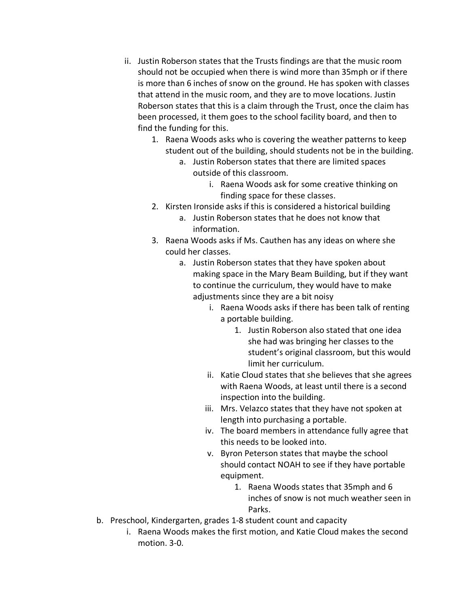- ii. Justin Roberson states that the Trusts findings are that the music room should not be occupied when there is wind more than 35mph or if there is more than 6 inches of snow on the ground. He has spoken with classes that attend in the music room, and they are to move locations. Justin Roberson states that this is a claim through the Trust, once the claim has been processed, it them goes to the school facility board, and then to find the funding for this.
	- 1. Raena Woods asks who is covering the weather patterns to keep student out of the building, should students not be in the building.
		- a. Justin Roberson states that there are limited spaces outside of this classroom.
			- i. Raena Woods ask for some creative thinking on finding space for these classes.
	- 2. Kirsten Ironside asks if this is considered a historical building
		- a. Justin Roberson states that he does not know that information.
	- 3. Raena Woods asks if Ms. Cauthen has any ideas on where she could her classes.
		- a. Justin Roberson states that they have spoken about making space in the Mary Beam Building, but if they want to continue the curriculum, they would have to make adjustments since they are a bit noisy
			- i. Raena Woods asks if there has been talk of renting a portable building.
				- 1. Justin Roberson also stated that one idea she had was bringing her classes to the student's original classroom, but this would limit her curriculum.
			- ii. Katie Cloud states that she believes that she agrees with Raena Woods, at least until there is a second inspection into the building.
			- iii. Mrs. Velazco states that they have not spoken at length into purchasing a portable.
			- iv. The board members in attendance fully agree that this needs to be looked into.
			- v. Byron Peterson states that maybe the school should contact NOAH to see if they have portable equipment.
				- 1. Raena Woods states that 35mph and 6 inches of snow is not much weather seen in Parks.
- b. Preschool, Kindergarten, grades 1-8 student count and capacity
	- i. Raena Woods makes the first motion, and Katie Cloud makes the second motion. 3-0.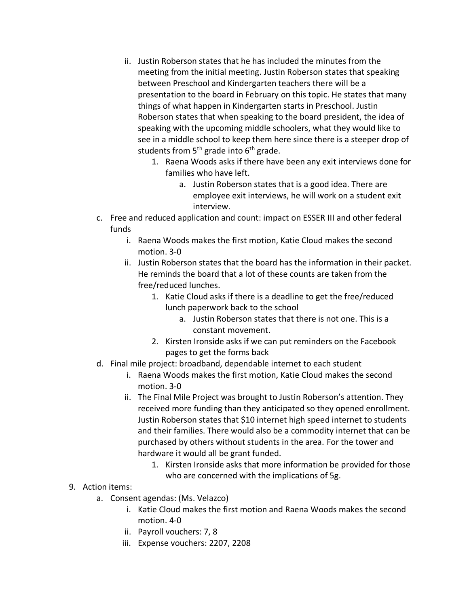- ii. Justin Roberson states that he has included the minutes from the meeting from the initial meeting. Justin Roberson states that speaking between Preschool and Kindergarten teachers there will be a presentation to the board in February on this topic. He states that many things of what happen in Kindergarten starts in Preschool. Justin Roberson states that when speaking to the board president, the idea of speaking with the upcoming middle schoolers, what they would like to see in a middle school to keep them here since there is a steeper drop of students from  $5<sup>th</sup>$  grade into  $6<sup>th</sup>$  grade.
	- 1. Raena Woods asks if there have been any exit interviews done for families who have left.
		- a. Justin Roberson states that is a good idea. There are employee exit interviews, he will work on a student exit interview.
- c. Free and reduced application and count: impact on ESSER III and other federal funds
	- i. Raena Woods makes the first motion, Katie Cloud makes the second motion. 3-0
	- ii. Justin Roberson states that the board has the information in their packet. He reminds the board that a lot of these counts are taken from the free/reduced lunches.
		- 1. Katie Cloud asks if there is a deadline to get the free/reduced lunch paperwork back to the school
			- a. Justin Roberson states that there is not one. This is a constant movement.
		- 2. Kirsten Ironside asks if we can put reminders on the Facebook pages to get the forms back
- d. Final mile project: broadband, dependable internet to each student
	- i. Raena Woods makes the first motion, Katie Cloud makes the second motion. 3-0
	- ii. The Final Mile Project was brought to Justin Roberson's attention. They received more funding than they anticipated so they opened enrollment. Justin Roberson states that \$10 internet high speed internet to students and their families. There would also be a commodity internet that can be purchased by others without students in the area. For the tower and hardware it would all be grant funded.
		- 1. Kirsten Ironside asks that more information be provided for those who are concerned with the implications of 5g.

## 9. Action items:

- a. Consent agendas: (Ms. Velazco)
	- i. Katie Cloud makes the first motion and Raena Woods makes the second motion. 4-0
	- ii. Payroll vouchers: 7, 8
	- iii. Expense vouchers: 2207, 2208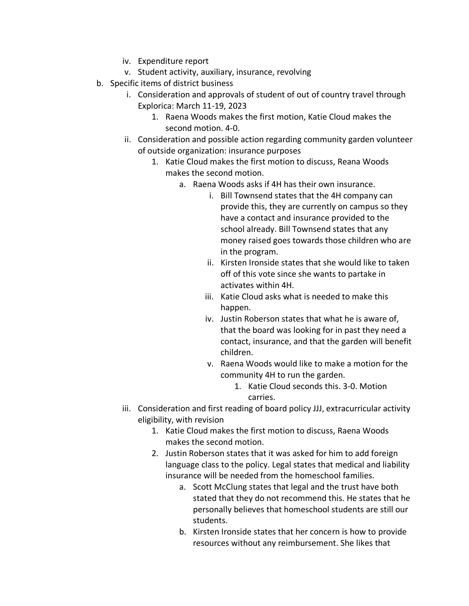- iv. Expenditure report
- v. Student activity, auxiliary, insurance, revolving
- b. Specific items of district business
	- i. Consideration and approvals of student of out of country travel through Explorica: March 11-19, 2023
		- 1. Raena Woods makes the first motion, Katie Cloud makes the second motion. 4-0.
	- ii. Consideration and possible action regarding community garden volunteer of outside organization: insurance purposes
		- 1. Katie Cloud makes the first motion to discuss, Reana Woods makes the second motion.
			- a. Raena Woods asks if 4H has their own insurance.
				- i. Bill Townsend states that the 4H company can provide this, they are currently on campus so they have a contact and insurance provided to the school already. Bill Townsend states that any money raised goes towards those children who are in the program.
				- ii. Kirsten Ironside states that she would like to taken off of this vote since she wants to partake in activates within 4H.
				- iii. Katie Cloud asks what is needed to make this happen.
				- iv. Justin Roberson states that what he is aware of, that the board was looking for in past they need a contact, insurance, and that the garden will benefit children.
				- v. Raena Woods would like to make a motion for the community 4H to run the garden.
					- 1. Katie Cloud seconds this. 3-0. Motion carries.
	- iii. Consideration and first reading of board policy JJJ, extracurricular activity eligibility, with revision
		- 1. Katie Cloud makes the first motion to discuss, Raena Woods makes the second motion.
		- 2. Justin Roberson states that it was asked for him to add foreign language class to the policy. Legal states that medical and liability insurance will be needed from the homeschool families.
			- a. Scott McClung states that legal and the trust have both stated that they do not recommend this. He states that he personally believes that homeschool students are still our students.
			- b. Kirsten Ironside states that her concern is how to provide resources without any reimbursement. She likes that